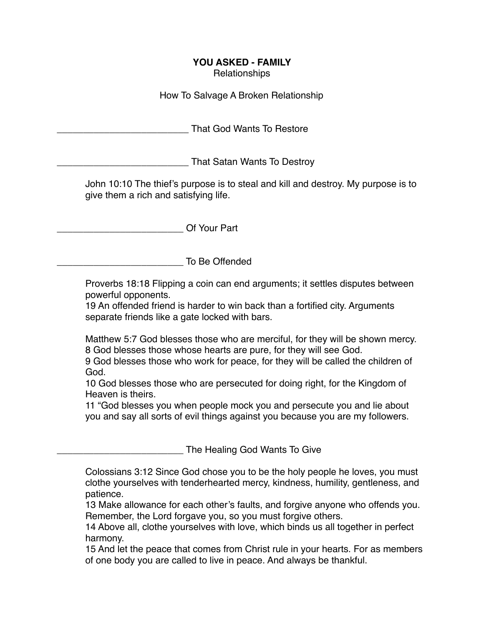## **YOU ASKED - FAMILY**

Relationships

How To Salvage A Broken Relationship

That God Wants To Restore

That Satan Wants To Destroy

John 10:10 The thief's purpose is to steal and kill and destroy. My purpose is to give them a rich and satisfying life.

Of Your Part

\_\_\_\_\_\_\_\_\_\_\_\_\_\_\_\_\_\_\_\_\_\_\_\_ To Be Offended

Proverbs 18:18 Flipping a coin can end arguments; it settles disputes between powerful opponents.

19 An offended friend is harder to win back than a fortified city. Arguments separate friends like a gate locked with bars.

Matthew 5:7 God blesses those who are merciful, for they will be shown mercy. 8 God blesses those whose hearts are pure, for they will see God.

9 God blesses those who work for peace, for they will be called the children of God.

10 God blesses those who are persecuted for doing right, for the Kingdom of Heaven is theirs.

11 "God blesses you when people mock you and persecute you and lie about you and say all sorts of evil things against you because you are my followers.

The Healing God Wants To Give

Colossians 3:12 Since God chose you to be the holy people he loves, you must clothe yourselves with tenderhearted mercy, kindness, humility, gentleness, and patience.

13 Make allowance for each other's faults, and forgive anyone who offends you. Remember, the Lord forgave you, so you must forgive others.

14 Above all, clothe yourselves with love, which binds us all together in perfect harmony.

15 And let the peace that comes from Christ rule in your hearts. For as members of one body you are called to live in peace. And always be thankful.